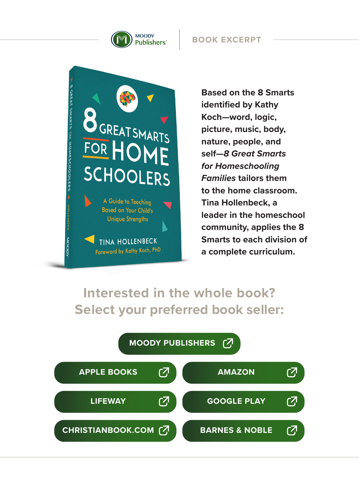

**BOOK EXCERPT**



**Based on the 8 Smarts identified by Kathy Koch—word, logic, picture, music, body, nature, people, and self—***8 Great Smarts for Homeschooling Families* **tailors them to the home classroom. Tina Hollenbeck, a leader in the homeschool community, applies the 8 Smarts to each division of a complete curriculum.**

### **Interested in the whole book? Select your preferred book seller:**

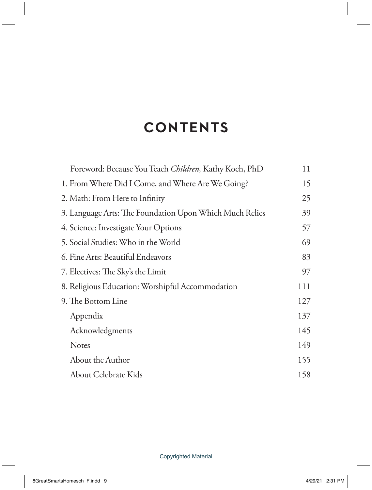# **CONTENTS**

| Foreword: Because You Teach Children, Kathy Koch, PhD   | 11  |
|---------------------------------------------------------|-----|
| 1. From Where Did I Come, and Where Are We Going?       | 15  |
| 2. Math: From Here to Infinity                          | 25  |
| 3. Language Arts: The Foundation Upon Which Much Relies | 39  |
| 4. Science: Investigate Your Options                    | 57  |
| 5. Social Studies: Who in the World                     | 69  |
| 6. Fine Arts: Beautiful Endeavors                       | 83  |
| 7. Electives: The Sky's the Limit                       | 97  |
| 8. Religious Education: Worshipful Accommodation        | 111 |
| 9. The Bottom Line                                      | 127 |
| Appendix                                                | 137 |
| Acknowledgments                                         | 145 |
| <b>Notes</b>                                            | 149 |
| About the Author                                        | 155 |
| About Celebrate Kids                                    | 158 |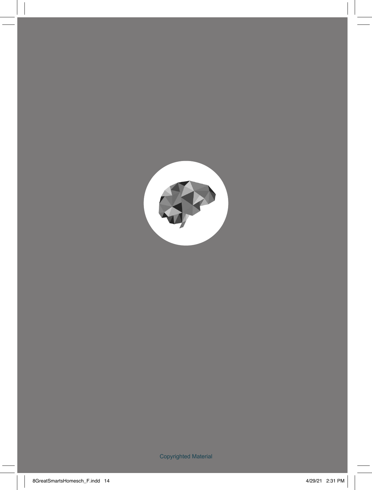

Copyrighted Material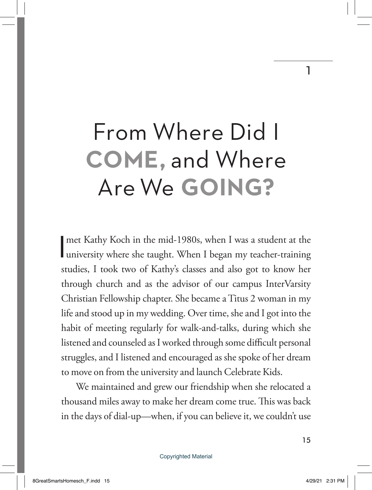# From Where Did I **COME,** and Where Are We **GOING?**

I met Kathy Koch in the mid-1980s, when I was a student at the university where she taught. When I began my teacher-training studies, I took two of Kathy's classes and also got to know her through church and as the advisor of our campus InterVarsity Christian Fellowship chapter. She became a Titus 2 woman in my life and stood up in my wedding. Over time, she and I got into the habit of meeting regularly for walk-and-talks, during which she listened and counseled as I worked through some difficult personal struggles, and I listened and encouraged as she spoke of her dream to move on from the university and launch Celebrate Kids.

We maintained and grew our friendship when she relocated a thousand miles away to make her dream come true. This was back in the days of dial-up—when, if you can believe it, we couldn't use

1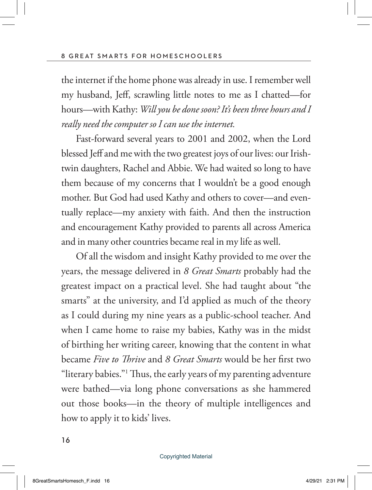the internet if the home phone was already in use. I remember well my husband, Jeff, scrawling little notes to me as I chatted—for hours—with Kathy: *Will you be done soon? It's been three hours and I really need the computer so I can use the internet.*

Fast-forward several years to 2001 and 2002, when the Lord blessed Jeff and me with the two greatest joys of our lives: our Irishtwin daughters, Rachel and Abbie. We had waited so long to have them because of my concerns that I wouldn't be a good enough mother. But God had used Kathy and others to cover—and eventually replace—my anxiety with faith. And then the instruction and encouragement Kathy provided to parents all across America and in many other countries became real in my life as well.

Of all the wisdom and insight Kathy provided to me over the years, the message delivered in *8 Great Smarts* probably had the greatest impact on a practical level. She had taught about "the smarts" at the university, and I'd applied as much of the theory as I could during my nine years as a public-school teacher. And when I came home to raise my babies, Kathy was in the midst of birthing her writing career, knowing that the content in what became *Five to Thrive* and *8 Great Smarts* would be her first two "literary babies."1 Thus, the early years of my parenting adventure were bathed—via long phone conversations as she hammered out those books—in the theory of multiple intelligences and how to apply it to kids' lives.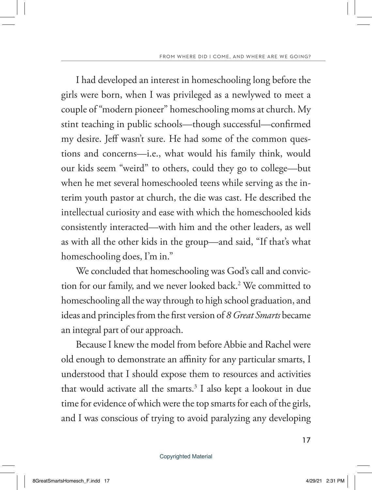I had developed an interest in homeschooling long before the girls were born, when I was privileged as a newlywed to meet a couple of "modern pioneer" homeschooling moms at church. My stint teaching in public schools—though successful—confirmed my desire. Jeff wasn't sure. He had some of the common questions and concerns—i.e., what would his family think, would our kids seem "weird" to others, could they go to college—but when he met several homeschooled teens while serving as the interim youth pastor at church, the die was cast. He described the intellectual curiosity and ease with which the homeschooled kids consistently interacted—with him and the other leaders, as well as with all the other kids in the group—and said, "If that's what homeschooling does, I'm in."

We concluded that homeschooling was God's call and conviction for our family, and we never looked back.<sup>2</sup> We committed to homeschooling all the way through to high school graduation, and ideas and principles from the first version of *8 Great Smarts* became an integral part of our approach.

Because I knew the model from before Abbie and Rachel were old enough to demonstrate an affinity for any particular smarts, I understood that I should expose them to resources and activities that would activate all the smarts.<sup>3</sup> I also kept a lookout in due time for evidence of which were the top smarts for each of the girls, and I was conscious of trying to avoid paralyzing any developing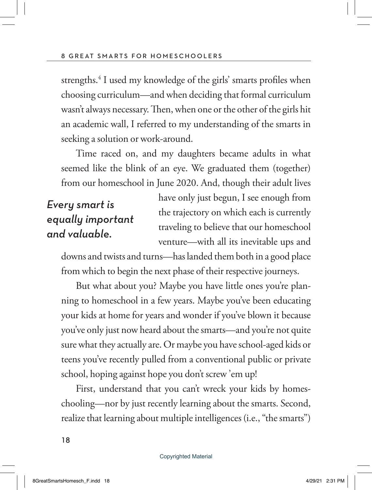strengths.4 I used my knowledge of the girls' smarts profiles when choosing curriculum—and when deciding that formal curriculum wasn't always necessary. Then, when one or the other of the girls hit an academic wall, I referred to my understanding of the smarts in seeking a solution or work-around.

Time raced on, and my daughters became adults in what seemed like the blink of an eye. We graduated them (together) from our homeschool in June 2020. And, though their adult lives

### *Every smart is equally important and valuable.*

have only just begun, I see enough from the trajectory on which each is currently traveling to believe that our homeschool venture—with all its inevitable ups and

downs and twists and turns—has landed them both in a good place from which to begin the next phase of their respective journeys.

But what about you? Maybe you have little ones you're planning to homeschool in a few years. Maybe you've been educating your kids at home for years and wonder if you've blown it because you've only just now heard about the smarts—and you're not quite sure what they actually are. Or maybe you have school-aged kids or teens you've recently pulled from a conventional public or private school, hoping against hope you don't screw 'em up!

First, understand that you can't wreck your kids by homeschooling—nor by just recently learning about the smarts. Second, realize that learning about multiple intelligences (i.e., "the smarts")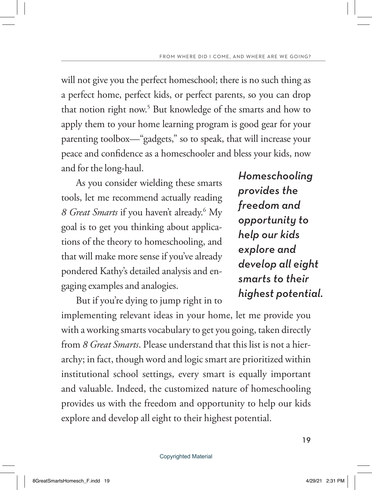will not give you the perfect homeschool; there is no such thing as a perfect home, perfect kids, or perfect parents, so you can drop that notion right now.<sup>5</sup> But knowledge of the smarts and how to apply them to your home learning program is good gear for your parenting toolbox—"gadgets," so to speak, that will increase your peace and confidence as a homeschooler and bless your kids, now and for the long-haul.

As you consider wielding these smarts tools, let me recommend actually reading *8 Great Smarts* if you haven't already.6 My goal is to get you thinking about applications of the theory to homeschooling, and that will make more sense if you've already pondered Kathy's detailed analysis and engaging examples and analogies.

But if you're dying to jump right in to

*Homeschooling provides the freedom and opportunity to help our kids explore and develop all eight smarts to their highest potential.*

implementing relevant ideas in your home, let me provide you with a working smarts vocabulary to get you going, taken directly from *8 Great Smarts*. Please understand that this list is not a hierarchy; in fact, though word and logic smart are prioritized within institutional school settings, every smart is equally important and valuable. Indeed, the customized nature of homeschooling provides us with the freedom and opportunity to help our kids explore and develop all eight to their highest potential.

#### Copyrighted Material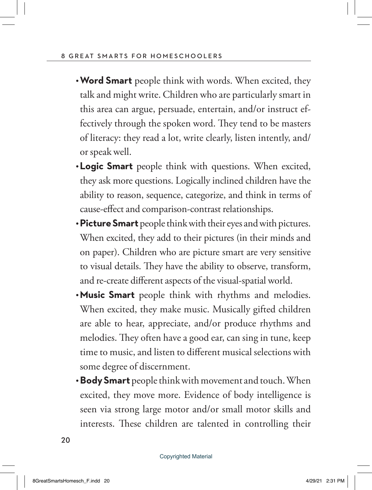- **Word Smart** people think with words. When excited, they talk and might write. Children who are particularly smart in this area can argue, persuade, entertain, and/or instruct effectively through the spoken word. They tend to be masters of literacy: they read a lot, write clearly, listen intently, and/ or speak well.
- **Logic Smart** people think with questions. When excited, they ask more questions. Logically inclined children have the ability to reason, sequence, categorize, and think in terms of cause-effect and comparison-contrast relationships.
- **Picture Smart** people think with their eyes and with pictures. When excited, they add to their pictures (in their minds and on paper). Children who are picture smart are very sensitive to visual details. They have the ability to observe, transform, and re-create different aspects of the visual-spatial world.
- **Music Smart** people think with rhythms and melodies. When excited, they make music. Musically gifted children are able to hear, appreciate, and/or produce rhythms and melodies. They often have a good ear, can sing in tune, keep time to music, and listen to different musical selections with some degree of discernment.
- **Body Smart** people think with movement and touch. When excited, they move more. Evidence of body intelligence is seen via strong large motor and/or small motor skills and interests. These children are talented in controlling their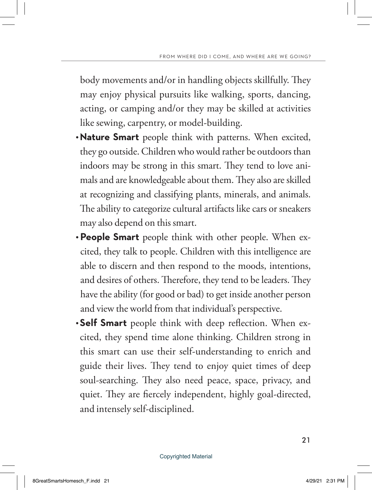body movements and/or in handling objects skillfully. They may enjoy physical pursuits like walking, sports, dancing, acting, or camping and/or they may be skilled at activities like sewing, carpentry, or model-building.

- **Nature Smart** people think with patterns. When excited, they go outside. Children who would rather be outdoors than indoors may be strong in this smart. They tend to love animals and are knowledgeable about them. They also are skilled at recognizing and classifying plants, minerals, and animals. The ability to categorize cultural artifacts like cars or sneakers may also depend on this smart.
- **People Smart** people think with other people. When excited, they talk to people. Children with this intelligence are able to discern and then respond to the moods, intentions, and desires of others. Therefore, they tend to be leaders. They have the ability (for good or bad) to get inside another person and view the world from that individual's perspective.
- **Self Smart** people think with deep reflection. When excited, they spend time alone thinking. Children strong in this smart can use their self-understanding to enrich and guide their lives. They tend to enjoy quiet times of deep soul-searching. They also need peace, space, privacy, and quiet. They are fiercely independent, highly goal-directed, and intensely self-disciplined.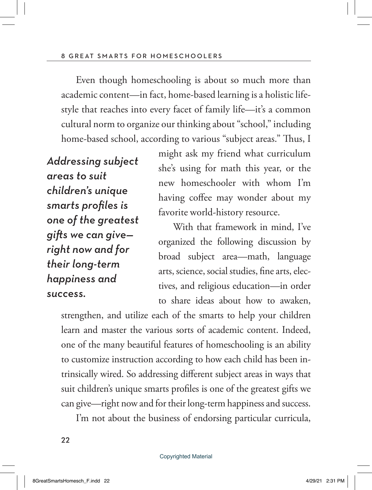Even though homeschooling is about so much more than academic content—in fact, home-based learning is a holistic lifestyle that reaches into every facet of family life—it's a common cultural norm to organize our thinking about "school," including home-based school, according to various "subject areas." Thus, I

*Addressing subject areas to suit children's unique smarts profiles is one of the greatest gifts we can give right now and for their long-term happiness and success.*

might ask my friend what curriculum she's using for math this year, or the new homeschooler with whom I'm having coffee may wonder about my favorite world-history resource.

With that framework in mind, I've organized the following discussion by broad subject area—math, language arts, science, social studies, fine arts, electives, and religious education—in order to share ideas about how to awaken,

strengthen, and utilize each of the smarts to help your children learn and master the various sorts of academic content. Indeed, one of the many beautiful features of homeschooling is an ability to customize instruction according to how each child has been intrinsically wired. So addressing different subject areas in ways that suit children's unique smarts profiles is one of the greatest gifts we can give—right now and for their long-term happiness and success.

I'm not about the business of endorsing particular curricula,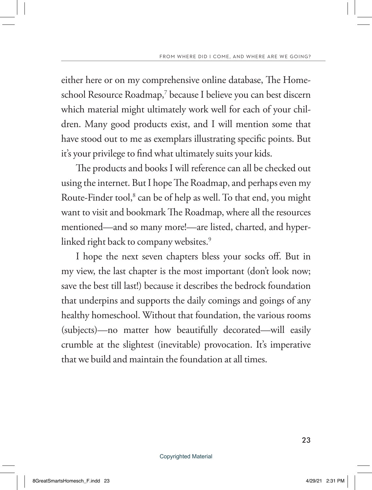either here or on my comprehensive online database, The Homeschool Resource Roadmap,7 because I believe you can best discern which material might ultimately work well for each of your children. Many good products exist, and I will mention some that have stood out to me as exemplars illustrating specific points. But it's your privilege to find what ultimately suits your kids.

The products and books I will reference can all be checked out using the internet. But I hope The Roadmap, and perhaps even my Route-Finder tool,<sup>8</sup> can be of help as well. To that end, you might want to visit and bookmark The Roadmap, where all the resources mentioned—and so many more!—are listed, charted, and hyperlinked right back to company websites.<sup>9</sup>

I hope the next seven chapters bless your socks off. But in my view, the last chapter is the most important (don't look now; save the best till last!) because it describes the bedrock foundation that underpins and supports the daily comings and goings of any healthy homeschool. Without that foundation, the various rooms (subjects)—no matter how beautifully decorated—will easily crumble at the slightest (inevitable) provocation. It's imperative that we build and maintain the foundation at all times.